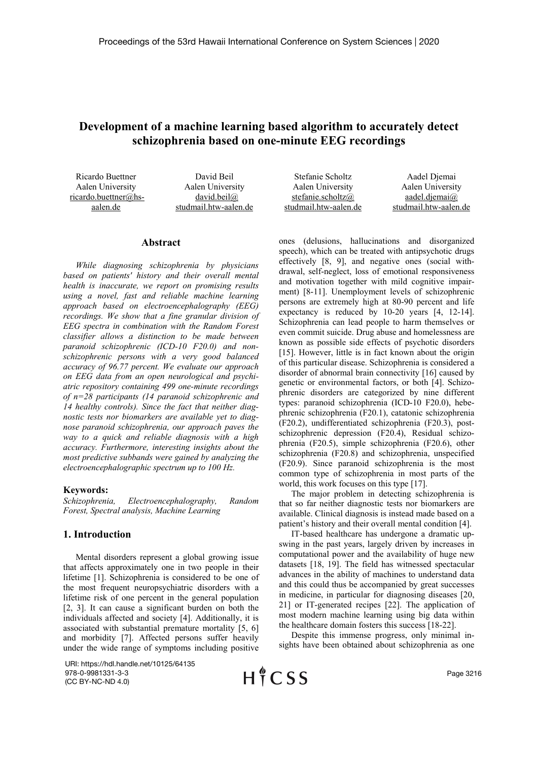# **Development of a machine learning based algorithm to accurately detect schizophrenia based on one-minute EEG recordings**

Ricardo Buettner Aalen University ricardo.buettner@hsaalen.de

David Beil Aalen University david.beil@ studmail.htw-aalen.de

### **Abstract**

*While diagnosing schizophrenia by physicians based on patients' history and their overall mental health is inaccurate, we report on promising results using a novel, fast and reliable machine learning approach based on electroencephalography (EEG) recordings. We show that a fine granular division of EEG spectra in combination with the Random Forest classifier allows a distinction to be made between paranoid schizophrenic (ICD-10 F20.0) and nonschizophrenic persons with a very good balanced accuracy of 96.77 percent. We evaluate our approach on EEG data from an open neurological and psychiatric repository containing 499 one-minute recordings of n=28 participants (14 paranoid schizophrenic and 14 healthy controls). Since the fact that neither diagnostic tests nor biomarkers are available yet to diagnose paranoid schizophrenia, our approach paves the way to a quick and reliable diagnosis with a high accuracy. Furthermore, interesting insights about the most predictive subbands were gained by analyzing the electroencephalographic spectrum up to 100 Hz.*

## **Keywords:**

*Schizophrenia, Electroencephalography, Random Forest, Spectral analysis, Machine Learning* 

## **1. Introduction**

Mental disorders represent a global growing issue that affects approximately one in two people in their lifetime [1]. Schizophrenia is considered to be one of the most frequent neuropsychiatric disorders with a lifetime risk of one percent in the general population [2, 3]. It can cause a significant burden on both the individuals affected and society [4]. Additionally, it is associated with substantial premature mortality [5, 6] and morbidity [7]. Affected persons suffer heavily under the wide range of symptoms including positive

URI: https://hdl.handle.net/10125/64135 978-0-9981331-3-3 (CC BY-NC-ND 4.0)

HICSS

Stefanie Scholtz Aalen University stefanie.scholtz@ studmail.htw-aalen.de Aadel Djemai Aalen University aadel.djemai@ studmail.htw-aalen.de

ones (delusions, hallucinations and disorganized speech), which can be treated with antipsychotic drugs effectively [8, 9], and negative ones (social withdrawal, self-neglect, loss of emotional responsiveness and motivation together with mild cognitive impairment) [8-11]. Unemployment levels of schizophrenic persons are extremely high at 80-90 percent and life expectancy is reduced by 10-20 years [4, 12-14]. Schizophrenia can lead people to harm themselves or even commit suicide. Drug abuse and homelessness are known as possible side effects of psychotic disorders [15]. However, little is in fact known about the origin of this particular disease. Schizophrenia is considered a disorder of abnormal brain connectivity [16] caused by genetic or environmental factors, or both [4]. Schizophrenic disorders are categorized by nine different types: paranoid schizophrenia (ICD-10 F20.0), hebephrenic schizophrenia (F20.1), catatonic schizophrenia (F20.2), undifferentiated schizophrenia (F20.3), postschizophrenic depression (F20.4), Residual schizophrenia (F20.5), simple schizophrenia (F20.6), other schizophrenia (F20.8) and schizophrenia, unspecified (F20.9). Since paranoid schizophrenia is the most common type of schizophrenia in most parts of the world, this work focuses on this type [17].

The major problem in detecting schizophrenia is that so far neither diagnostic tests nor biomarkers are available. Clinical diagnosis is instead made based on a patient's history and their overall mental condition [4].

IT-based healthcare has undergone a dramatic upswing in the past years, largely driven by increases in computational power and the availability of huge new datasets [18, 19]. The field has witnessed spectacular advances in the ability of machines to understand data and this could thus be accompanied by great successes in medicine, in particular for diagnosing diseases [20, 21] or IT-generated recipes [22]. The application of most modern machine learning using big data within the healthcare domain fosters this success [18-22].

Despite this immense progress, only minimal insights have been obtained about schizophrenia as one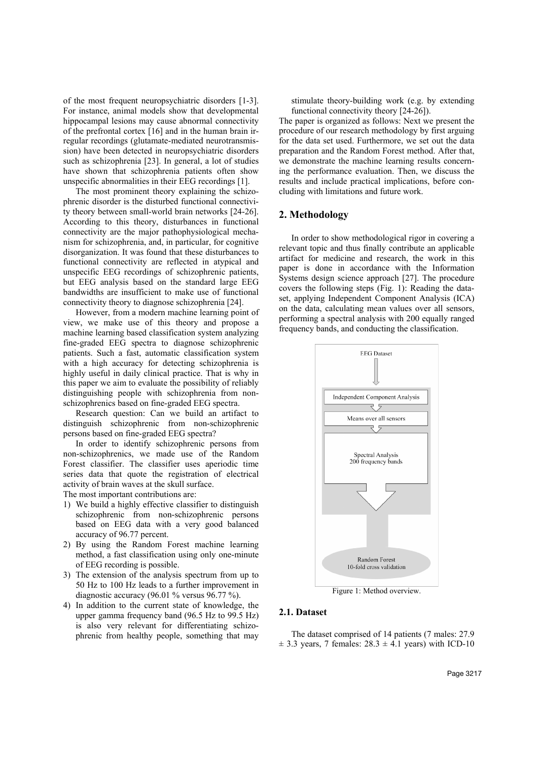of the most frequent neuropsychiatric disorders [1-3]. For instance, animal models show that developmental hippocampal lesions may cause abnormal connectivity of the prefrontal cortex [16] and in the human brain irregular recordings (glutamate-mediated neurotransmission) have been detected in neuropsychiatric disorders such as schizophrenia [23]. In general, a lot of studies have shown that schizophrenia patients often show unspecific abnormalities in their EEG recordings [1].

The most prominent theory explaining the schizophrenic disorder is the disturbed functional connectivity theory between small-world brain networks [24-26]. According to this theory, disturbances in functional connectivity are the major pathophysiological mechanism for schizophrenia, and, in particular, for cognitive disorganization. It was found that these disturbances to functional connectivity are reflected in atypical and unspecific EEG recordings of schizophrenic patients, but EEG analysis based on the standard large EEG bandwidths are insufficient to make use of functional connectivity theory to diagnose schizophrenia [24].

However, from a modern machine learning point of view, we make use of this theory and propose a machine learning based classification system analyzing fine-graded EEG spectra to diagnose schizophrenic patients. Such a fast, automatic classification system with a high accuracy for detecting schizophrenia is highly useful in daily clinical practice. That is why in this paper we aim to evaluate the possibility of reliably distinguishing people with schizophrenia from nonschizophrenics based on fine-graded EEG spectra.

Research question: Can we build an artifact to distinguish schizophrenic from non-schizophrenic persons based on fine-graded EEG spectra?

In order to identify schizophrenic persons from non-schizophrenics, we made use of the Random Forest classifier. The classifier uses aperiodic time series data that quote the registration of electrical activity of brain waves at the skull surface.

The most important contributions are:

- 1) We build a highly effective classifier to distinguish schizophrenic from non-schizophrenic persons based on EEG data with a very good balanced accuracy of 96.77 percent.
- 2) By using the Random Forest machine learning method, a fast classification using only one-minute of EEG recording is possible.
- 3) The extension of the analysis spectrum from up to 50 Hz to 100 Hz leads to a further improvement in diagnostic accuracy (96.01 % versus 96.77 %).
- 4) In addition to the current state of knowledge, the upper gamma frequency band (96.5 Hz to 99.5 Hz) is also very relevant for differentiating schizophrenic from healthy people, something that may

stimulate theory-building work (e.g. by extending functional connectivity theory [24-26]).

The paper is organized as follows: Next we present the procedure of our research methodology by first arguing for the data set used. Furthermore, we set out the data preparation and the Random Forest method. After that, we demonstrate the machine learning results concerning the performance evaluation. Then, we discuss the results and include practical implications, before concluding with limitations and future work.

## **2. Methodology**

In order to show methodological rigor in covering a relevant topic and thus finally contribute an applicable artifact for medicine and research, the work in this paper is done in accordance with the Information Systems design science approach [27]. The procedure covers the following steps (Fig. 1): Reading the dataset, applying Independent Component Analysis (ICA) on the data, calculating mean values over all sensors, performing a spectral analysis with 200 equally ranged frequency bands, and conducting the classification.



Figure 1: Method overview.

## **2.1. Dataset**

The dataset comprised of 14 patients (7 males: 27.9  $\pm$  3.3 years, 7 females: 28.3  $\pm$  4.1 years) with ICD-10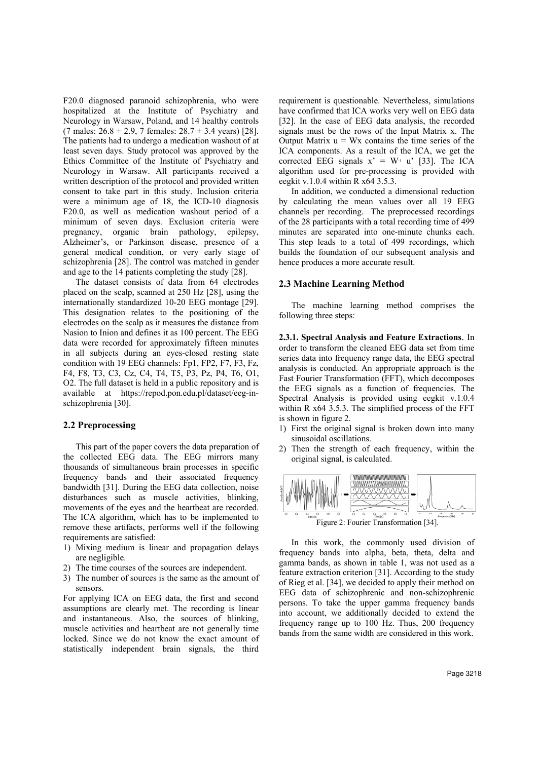F20.0 diagnosed paranoid schizophrenia, who were hospitalized at the Institute of Psychiatry and Neurology in Warsaw, Poland, and 14 healthy controls (7 males:  $26.8 \pm 2.9$ , 7 females:  $28.7 \pm 3.4$  years) [28]. The patients had to undergo a medication washout of at least seven days. Study protocol was approved by the Ethics Committee of the Institute of Psychiatry and Neurology in Warsaw. All participants received a written description of the protocol and provided written consent to take part in this study. Inclusion criteria were a minimum age of 18, the ICD-10 diagnosis F20.0, as well as medication washout period of a minimum of seven days. Exclusion criteria were pregnancy, organic brain pathology, epilepsy, Alzheimer's, or Parkinson disease, presence of a general medical condition, or very early stage of schizophrenia [28]. The control was matched in gender and age to the 14 patients completing the study [28].

The dataset consists of data from 64 electrodes placed on the scalp, scanned at 250 Hz [28], using the internationally standardized 10-20 EEG montage [29]. This designation relates to the positioning of the electrodes on the scalp as it measures the distance from Nasion to Inion and defines it as 100 percent. The EEG data were recorded for approximately fifteen minutes in all subjects during an eyes-closed resting state condition with 19 EEG channels: Fp1, FP2, F7, F3, Fz, F4, F8, T3, C3, Cz, C4, T4, T5, P3, Pz, P4, T6, O1, O2. The full dataset is held in a public repository and is available at https://repod.pon.edu.pl/dataset/eeg-inschizophrenia [30].

#### **2.2 Preprocessing**

This part of the paper covers the data preparation of the collected EEG data. The EEG mirrors many thousands of simultaneous brain processes in specific frequency bands and their associated frequency bandwidth [31]. During the EEG data collection, noise disturbances such as muscle activities, blinking, movements of the eyes and the heartbeat are recorded. The ICA algorithm, which has to be implemented to remove these artifacts, performs well if the following requirements are satisfied:

- 1) Mixing medium is linear and propagation delays are negligible.
- 2) The time courses of the sources are independent.
- 3) The number of sources is the same as the amount of sensors.

For applying ICA on EEG data, the first and second assumptions are clearly met. The recording is linear and instantaneous. Also, the sources of blinking, muscle activities and heartbeat are not generally time locked. Since we do not know the exact amount of statistically independent brain signals, the third

requirement is questionable. Nevertheless, simulations have confirmed that ICA works very well on EEG data [32]. In the case of EEG data analysis, the recorded signals must be the rows of the Input Matrix x. The Output Matrix  $u = Wx$  contains the time series of the ICA components. As a result of the ICA, we get the corrected EEG signals  $x' = W_1$  u' [33]. The ICA algorithm used for pre-processing is provided with eegkit v.1.0.4 within R x64 3.5.3.

In addition, we conducted a dimensional reduction by calculating the mean values over all 19 EEG channels per recording. The preprocessed recordings of the 28 participants with a total recording time of 499 minutes are separated into one-minute chunks each. This step leads to a total of 499 recordings, which builds the foundation of our subsequent analysis and hence produces a more accurate result.

## **2.3 Machine Learning Method**

The machine learning method comprises the following three steps:

**2.3.1. Spectral Analysis and Feature Extractions**. In order to transform the cleaned EEG data set from time series data into frequency range data, the EEG spectral analysis is conducted. An appropriate approach is the Fast Fourier Transformation (FFT), which decomposes the EEG signals as a function of frequencies. The Spectral Analysis is provided using eegkit v.1.0.4 within R x64 3.5.3. The simplified process of the FFT is shown in figure 2.

- 1) First the original signal is broken down into many sinusoidal oscillations.
- 2) Then the strength of each frequency, within the original signal, is calculated.



In this work, the commonly used division of frequency bands into alpha, beta, theta, delta and gamma bands, as shown in table 1, was not used as a feature extraction criterion [31]. According to the study of Rieg et al. [34], we decided to apply their method on EEG data of schizophrenic and non-schizophrenic persons. To take the upper gamma frequency bands into account, we additionally decided to extend the frequency range up to 100 Hz. Thus, 200 frequency bands from the same width are considered in this work.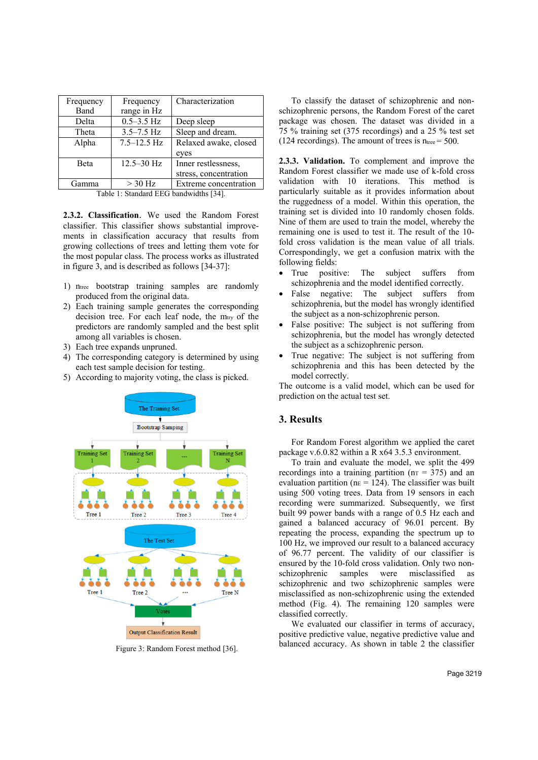| Frequency                                                                                                                                                                                                                     | Frequency       | Characterization      |  |
|-------------------------------------------------------------------------------------------------------------------------------------------------------------------------------------------------------------------------------|-----------------|-----------------------|--|
| Band                                                                                                                                                                                                                          | range in Hz     |                       |  |
| Delta                                                                                                                                                                                                                         | $0.5 - 3.5$ Hz  | Deep sleep            |  |
| Theta                                                                                                                                                                                                                         | $3.5 - 7.5$ Hz  | Sleep and dream.      |  |
| Alpha                                                                                                                                                                                                                         | $7.5 - 12.5$ Hz | Relaxed awake, closed |  |
|                                                                                                                                                                                                                               |                 | eyes                  |  |
| Beta                                                                                                                                                                                                                          | $12.5 - 30$ Hz  | Inner restlessness.   |  |
|                                                                                                                                                                                                                               |                 | stress, concentration |  |
| Gamma                                                                                                                                                                                                                         | $>$ 30 Hz       | Extreme concentration |  |
| THE REPORT OF THE RESIDENCE OF THE RESIDENCE OF THE RESIDENCE OF THE RESIDENCE OF THE RESIDENCE OF THE RESIDENCE OF THE RESIDENCE OF THE RESIDENCE OF THE RESIDENCE OF THE RESIDENCE OF THE RESIDENCE OF THE RESIDENCE OF THE |                 |                       |  |

Table 1: Standard EEG bandwidths [34].

**2.3.2. Classification**. We used the Random Forest classifier. This classifier shows substantial improvements in classification accuracy that results from growing collections of trees and letting them vote for the most popular class. The process works as illustrated in figure 3, and is described as follows [34-37]:

- 1) ntree bootstrap training samples are randomly produced from the original data.
- 2) Each training sample generates the corresponding decision tree. For each leaf node, the mtry of the predictors are randomly sampled and the best split among all variables is chosen.
- 3) Each tree expands unpruned.
- 4) The corresponding category is determined by using each test sample decision for testing.
- 5) According to majority voting, the class is picked.



Figure 3: Random Forest method [36].

To classify the dataset of schizophrenic and nonschizophrenic persons, the Random Forest of the caret package was chosen. The dataset was divided in a 75 % training set (375 recordings) and a 25 % test set (124 recordings). The amount of trees is  $n_{\text{tree}} = 500$ .

**2.3.3. Validation.** To complement and improve the Random Forest classifier we made use of k-fold cross validation with 10 iterations. This method is particularly suitable as it provides information about the ruggedness of a model. Within this operation, the training set is divided into 10 randomly chosen folds. Nine of them are used to train the model, whereby the remaining one is used to test it. The result of the 10 fold cross validation is the mean value of all trials. Correspondingly, we get a confusion matrix with the following fields:

- True positive: The subject suffers from schizophrenia and the model identified correctly.
- False negative: The subject suffers from schizophrenia, but the model has wrongly identified the subject as a non-schizophrenic person.
- False positive: The subject is not suffering from schizophrenia, but the model has wrongly detected the subject as a schizophrenic person.
- True negative: The subject is not suffering from schizophrenia and this has been detected by the model correctly.

The outcome is a valid model, which can be used for prediction on the actual test set.

# **3. Results**

For Random Forest algorithm we applied the caret package v.6.0.82 within a R x64 3.5.3 environment.

To train and evaluate the model, we split the 499 recordings into a training partition ( $nr = 375$ ) and an evaluation partition ( $n = 124$ ). The classifier was built using 500 voting trees. Data from 19 sensors in each recording were summarized. Subsequently, we first built 99 power bands with a range of 0.5 Hz each and gained a balanced accuracy of 96.01 percent. By repeating the process, expanding the spectrum up to 100 Hz, we improved our result to a balanced accuracy of 96.77 percent. The validity of our classifier is ensured by the 10-fold cross validation. Only two nonschizophrenic samples were misclassified as schizophrenic and two schizophrenic samples were misclassified as non-schizophrenic using the extended method (Fig. 4). The remaining 120 samples were classified correctly.

We evaluated our classifier in terms of accuracy, positive predictive value, negative predictive value and balanced accuracy. As shown in table 2 the classifier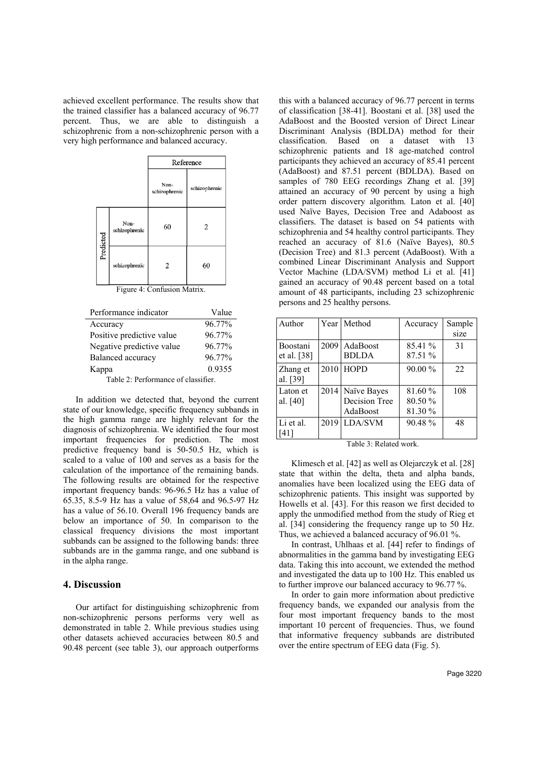achieved excellent performance. The results show that the trained classifier has a balanced accuracy of 96.77 percent. Thus, we are able to distinguish a schizophrenic from a non-schizophrenic person with a very high performance and balanced accuracy.

|           |                       | Reference             |               |
|-----------|-----------------------|-----------------------|---------------|
|           |                       | Non-<br>schizophrenic | schizophrenic |
| Predicted | Non-<br>schizophrenic | 60                    | 2             |
|           | schizophrenic         | 2                     | 60            |

|  | Figure 4: Confusion Matrix. |  |
|--|-----------------------------|--|
|--|-----------------------------|--|

| Performance indicator               | Value  |  |  |
|-------------------------------------|--------|--|--|
| Accuracy                            | 96.77% |  |  |
| Positive predictive value           | 96.77% |  |  |
| Negative predictive value           | 96.77% |  |  |
| Balanced accuracy                   | 96.77% |  |  |
| Kappa                               | 0.9355 |  |  |
| Table 2: Performance of classifier. |        |  |  |

In addition we detected that, beyond the current state of our knowledge, specific frequency subbands in the high gamma range are highly relevant for the diagnosis of schizophrenia. We identified the four most important frequencies for prediction. The most predictive frequency band is 50-50.5 Hz, which is scaled to a value of 100 and serves as a basis for the calculation of the importance of the remaining bands. The following results are obtained for the respective important frequency bands: 96-96.5 Hz has a value of 65.35, 8.5-9 Hz has a value of 58,64 and 96.5-97 Hz has a value of 56.10. Overall 196 frequency bands are below an importance of 50. In comparison to the classical frequency divisions the most important subbands can be assigned to the following bands: three subbands are in the gamma range, and one subband is in the alpha range.

#### **4. Discussion**

Our artifact for distinguishing schizophrenic from non-schizophrenic persons performs very well as demonstrated in table 2. While previous studies using other datasets achieved accuracies between 80.5 and 90.48 percent (see table 3), our approach outperforms

this with a balanced accuracy of 96.77 percent in terms of classification [38-41]. Boostani et al. [38] used the AdaBoost and the Boosted version of Direct Linear Discriminant Analysis (BDLDA) method for their classification. Based on a dataset with 13 schizophrenic patients and 18 age-matched control participants they achieved an accuracy of 85.41 percent (AdaBoost) and 87.51 percent (BDLDA). Based on samples of 780 EEG recordings Zhang et al. [39] attained an accuracy of 90 percent by using a high order pattern discovery algorithm. Laton et al. [40] used Naïve Bayes, Decision Tree and Adaboost as classifiers. The dataset is based on 54 patients with schizophrenia and 54 healthy control participants. They reached an accuracy of 81.6 (Naïve Bayes), 80.5 (Decision Tree) and 81.3 percent (AdaBoost). With a combined Linear Discriminant Analysis and Support Vector Machine (LDA/SVM) method Li et al. [41] gained an accuracy of 90.48 percent based on a total amount of 48 participants, including 23 schizophrenic persons and 25 healthy persons.

| Author               |      | Year   Method | Accuracy | Sample |
|----------------------|------|---------------|----------|--------|
|                      |      |               |          | size   |
| <b>Boostani</b>      | 2009 | AdaBoost      | 85.41 %  | 31     |
| et al. $[38]$        |      | <b>BDLDA</b>  | 87.51 %  |        |
| Zhang et<br>al. [39] |      | 2010 HOPD     | 90.00 %  | 22     |
| Laton et             | 2014 | Naïve Bayes   | 81.60 %  | 108    |
| al. [40]             |      | Decision Tree | 80.50 %  |        |
|                      |      | AdaBoost      | 81.30 %  |        |
| Li et al.            |      | 2019 LDA/SVM  | 90.48%   | 48     |
| [41]                 |      |               |          |        |

Table 3: Related work.

Klimesch et al. [42] as well as Olejarczyk et al. [28] state that within the delta, theta and alpha bands, anomalies have been localized using the EEG data of schizophrenic patients. This insight was supported by Howells et al. [43]. For this reason we first decided to apply the unmodified method from the study of Rieg et al. [34] considering the frequency range up to 50 Hz. Thus, we achieved a balanced accuracy of 96.01 %.

In contrast, Uhlhaas et al. [44] refer to findings of abnormalities in the gamma band by investigating EEG data. Taking this into account, we extended the method and investigated the data up to 100 Hz. This enabled us to further improve our balanced accuracy to 96.77 %.

In order to gain more information about predictive frequency bands, we expanded our analysis from the four most important frequency bands to the most important 10 percent of frequencies. Thus, we found that informative frequency subbands are distributed over the entire spectrum of EEG data (Fig. 5).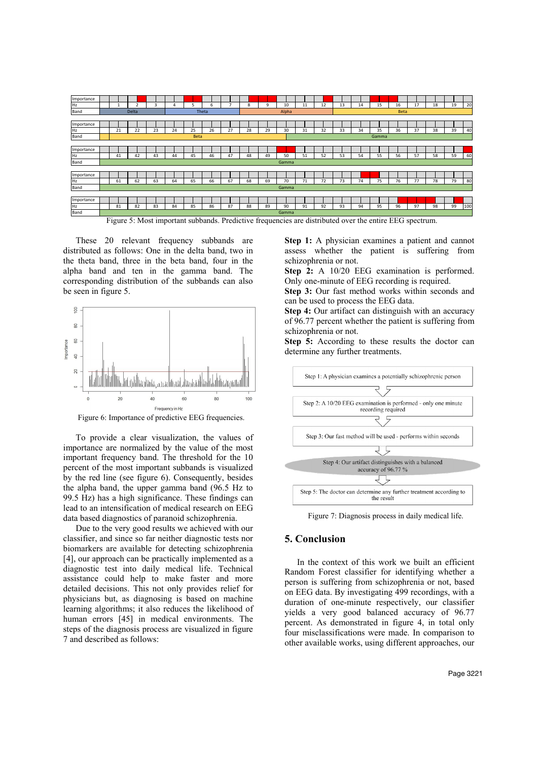

Figure 5: Most important subbands. Predictive frequencies are distributed over the entire EEG spectrum.

These 20 relevant frequency subbands are distributed as follows: One in the delta band, two in the theta band, three in the beta band, four in the alpha band and ten in the gamma band. The corresponding distribution of the subbands can also be seen in figure 5.



Figure 6: Importance of predictive EEG frequencies.

To provide a clear visualization, the values of importance are normalized by the value of the most important frequency band. The threshold for the 10 percent of the most important subbands is visualized by the red line (see figure 6). Consequently, besides the alpha band, the upper gamma band (96.5 Hz to 99.5 Hz) has a high significance. These findings can lead to an intensification of medical research on EEG data based diagnostics of paranoid schizophrenia.

Due to the very good results we achieved with our classifier, and since so far neither diagnostic tests nor biomarkers are available for detecting schizophrenia [4], our approach can be practically implemented as a diagnostic test into daily medical life. Technical assistance could help to make faster and more detailed decisions. This not only provides relief for physicians but, as diagnosing is based on machine learning algorithms; it also reduces the likelihood of human errors [45] in medical environments. The steps of the diagnosis process are visualized in figure 7 and described as follows:

**Step 1:** A physician examines a patient and cannot assess whether the patient is suffering from schizophrenia or not.

**Step 2:** A 10/20 EEG examination is performed. Only one-minute of EEG recording is required.

**Step 3:** Our fast method works within seconds and can be used to process the EEG data.

**Step 4:** Our artifact can distinguish with an accuracy of 96.77 percent whether the patient is suffering from schizophrenia or not.

**Step 5:** According to these results the doctor can determine any further treatments.



Figure 7: Diagnosis process in daily medical life.

# **5. Conclusion**

In the context of this work we built an efficient Random Forest classifier for identifying whether a person is suffering from schizophrenia or not, based on EEG data. By investigating 499 recordings, with a duration of one-minute respectively, our classifier yields a very good balanced accuracy of 96.77 percent. As demonstrated in figure 4, in total only four misclassifications were made. In comparison to other available works, using different approaches, our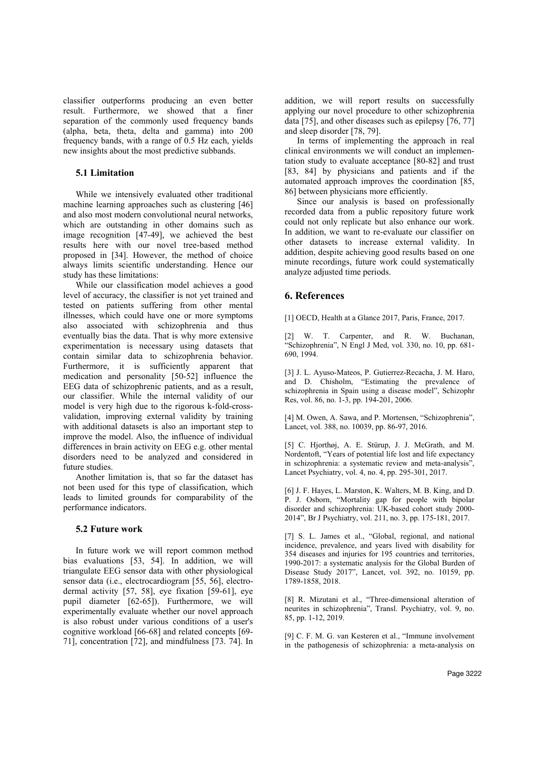classifier outperforms producing an even better result. Furthermore, we showed that a finer separation of the commonly used frequency bands (alpha, beta, theta, delta and gamma) into 200 frequency bands, with a range of 0.5 Hz each, yields new insights about the most predictive subbands.

# **5.1 Limitation**

While we intensively evaluated other traditional machine learning approaches such as clustering [46] and also most modern convolutional neural networks, which are outstanding in other domains such as image recognition [47-49], we achieved the best results here with our novel tree-based method proposed in [34]. However, the method of choice always limits scientific understanding. Hence our study has these limitations:

While our classification model achieves a good level of accuracy, the classifier is not yet trained and tested on patients suffering from other mental illnesses, which could have one or more symptoms also associated with schizophrenia and thus eventually bias the data. That is why more extensive experimentation is necessary using datasets that contain similar data to schizophrenia behavior. Furthermore, it is sufficiently apparent that medication and personality [50-52] influence the EEG data of schizophrenic patients, and as a result, our classifier. While the internal validity of our model is very high due to the rigorous k-fold-crossvalidation, improving external validity by training with additional datasets is also an important step to improve the model. Also, the influence of individual differences in brain activity on EEG e.g. other mental disorders need to be analyzed and considered in future studies.

Another limitation is, that so far the dataset has not been used for this type of classification, which leads to limited grounds for comparability of the performance indicators.

## **5.2 Future work**

In future work we will report common method bias evaluations [53, 54]. In addition, we will triangulate EEG sensor data with other physiological sensor data (i.e., electrocardiogram [55, 56], electrodermal activity [57, 58], eye fixation [59-61], eye pupil diameter [62-65]). Furthermore, we will experimentally evaluate whether our novel approach is also robust under various conditions of a user's cognitive workload [66-68] and related concepts [69- 71], concentration [72], and mindfulness [73. 74]. In

addition, we will report results on successfully applying our novel procedure to other schizophrenia data [75], and other diseases such as epilepsy [76, 77] and sleep disorder [78, 79].

In terms of implementing the approach in real clinical environments we will conduct an implementation study to evaluate acceptance [80-82] and trust [83, 84] by physicians and patients and if the automated approach improves the coordination [85, 86] between physicians more efficiently.

Since our analysis is based on professionally recorded data from a public repository future work could not only replicate but also enhance our work. In addition, we want to re-evaluate our classifier on other datasets to increase external validity. In addition, despite achieving good results based on one minute recordings, future work could systematically analyze adjusted time periods.

## **6. References**

[1] OECD, Health at a Glance 2017, Paris, France, 2017.

[2] W. T. Carpenter, and R. W. Buchanan, "Schizophrenia", N Engl J Med, vol. 330, no. 10, pp. 681- 690, 1994.

[3] J. L. Ayuso-Mateos, P. Gutierrez-Recacha, J. M. Haro, and D. Chisholm, "Estimating the prevalence of schizophrenia in Spain using a disease model", Schizophr Res, vol. 86, no. 1-3, pp. 194-201, 2006.

[4] M. Owen, A. Sawa, and P. Mortensen, "Schizophrenia", Lancet, vol. 388, no. 10039, pp. 86-97, 2016.

[5] C. Hjorthøj, A. E. Stürup, J. J. McGrath, and M. Nordentoft, "Years of potential life lost and life expectancy in schizophrenia: a systematic review and meta-analysis", Lancet Psychiatry, vol. 4, no. 4, pp. 295-301, 2017.

[6] J. F. Hayes, L. Marston, K. Walters, M. B. King, and D. P. J. Osborn, "Mortality gap for people with bipolar disorder and schizophrenia: UK-based cohort study 2000- 2014", Br J Psychiatry, vol. 211, no. 3, pp. 175-181, 2017.

[7] S. L. James et al., "Global, regional, and national incidence, prevalence, and years lived with disability for 354 diseases and injuries for 195 countries and territories, 1990-2017: a systematic analysis for the Global Burden of Disease Study 2017", Lancet, vol. 392, no. 10159, pp. 1789-1858, 2018.

[8] R. Mizutani et al., "Three-dimensional alteration of neurites in schizophrenia", Transl. Psychiatry, vol. 9, no. 85, pp. 1-12, 2019.

[9] C. F. M. G. van Kesteren et al., "Immune involvement in the pathogenesis of schizophrenia: a meta-analysis on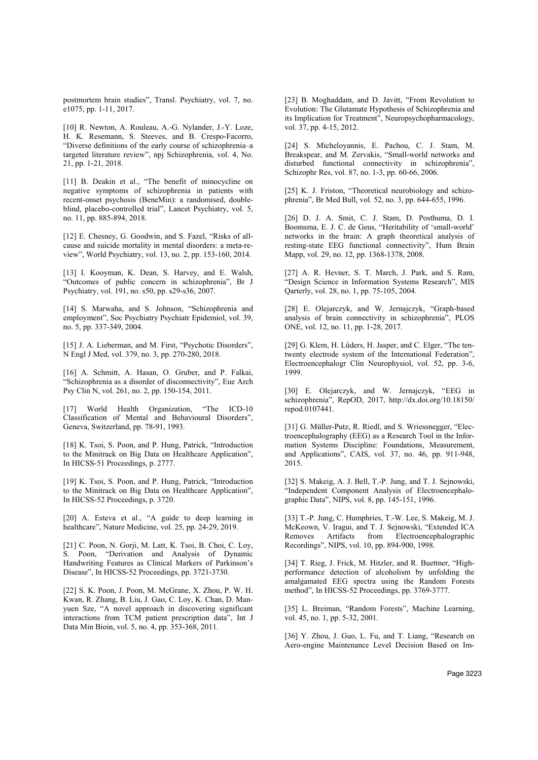postmortem brain studies", Transl. Psychiatry, vol. 7, no. e1075, pp. 1-11, 2017.

[10] R. Newton, A. Rouleau, A.-G. Nylander, J.-Y. Loze, H. K. Resemann, S. Steeves, and B. Crespo-Facorro, "Diverse definitions of the early course of schizophrenia–a targeted literature review", npj Schizophrenia, vol. 4, No. 21, pp. 1-21, 2018.

[11] B. Deakin et al., "The benefit of minocycline on negative symptoms of schizophrenia in patients with recent-onset psychosis (BeneMin): a randomised, doubleblind, placebo-controlled trial", Lancet Psychiatry, vol. 5, no. 11, pp. 885-894, 2018.

[12] E. Chesney, G. Goodwin, and S. Fazel, "Risks of allcause and suicide mortality in mental disorders: a meta-review", World Psychiatry, vol. 13, no. 2, pp. 153-160, 2014.

[13] I. Kooyman, K. Dean, S. Harvey, and E. Walsh, "Outcomes of public concern in schizophrenia", Br J Psychiatry, vol. 191, no. s50, pp. s29-s36, 2007.

[14] S. Marwaha, and S. Johnson, "Schizophrenia and employment", Soc Psychiatry Psychiatr Epidemiol, vol. 39, no. 5, pp. 337-349, 2004.

[15] J. A. Lieberman, and M. First, "Psychotic Disorders", N Engl J Med, vol. 379, no. 3, pp. 270-280, 2018.

[16] A. Schmitt, A. Hasan, O. Gruber, and P. Falkai, "Schizophrenia as a disorder of disconnectivity", Eue Arch Psy Clin N, vol. 261, no. 2, pp. 150-154, 2011.

[17] World Health Organization, "The ICD-10 Classification of Mental and Behavioural Disorders", Geneva, Switzerland, pp. 78-91, 1993.

[18] K. Tsoi, S. Poon, and P. Hung, Patrick, "Introduction to the Minitrack on Big Data on Healthcare Application", In HICSS-51 Proceedings, p. 2777.

[19] K. Tsoi, S. Poon, and P. Hung, Patrick, "Introduction to the Minitrack on Big Data on Healthcare Application", In HICSS-52 Proceedings, p. 3720.

[20] A. Esteva et al., "A guide to deep learning in healthcare", Nature Medicine, vol. 25, pp. 24-29, 2019.

[21] C. Poon, N. Gorii, M. Latt, K. Tsoi, B. Choi, C. Lov, S. Poon, "Derivation and Analysis of Dynamic Handwriting Features as Clinical Markers of Parkinson's Disease", In HICSS-52 Proceedings, pp. 3721-3730.

[22] S. K. Poon, J. Poon, M. McGrane, X. Zhou, P. W. H. Kwan, R. Zhang, B. Liu, J. Gao, C. Loy, K. Chan, D. Manyuen Sze, "A novel approach in discovering significant interactions from TCM patient prescription data", Int J Data Min Bioin, vol. 5, no. 4, pp. 353-368, 2011.

[23] B. Moghaddam, and D. Javitt, "From Revolution to Evolution: The Glutamate Hypothesis of Schizophrenia and its Implication for Treatment", Neuropsychopharmacology, vol. 37, pp. 4-15, 2012.

[24] S. Micheloyannis, E. Pachou, C. J. Stam, M. Breakspear, and M. Zervakis, "Small-world networks and disturbed functional connectivity in schizophrenia", Schizophr Res, vol. 87, no. 1-3, pp. 60-66, 2006.

[25] K. J. Friston, "Theoretical neurobiology and schizophrenia", Br Med Bull, vol. 52, no. 3, pp. 644-655, 1996.

[26] D. J. A. Smit, C. J. Stam, D. Posthuma, D. I. Boomsma, E. J. C. de Geus, "Heritability of 'small-world' networks in the brain: A graph theoretical analysis of resting-state EEG functional connectivity", Hum Brain Mapp, vol. 29, no. 12, pp. 1368-1378, 2008.

[27] A. R. Hevner, S. T. March, J. Park, and S. Ram, "Design Science in Information Systems Research", MIS Qarterly, vol. 28, no. 1, pp. 75-105, 2004.

[28] E. Olejarczyk, and W. Jernajczyk, "Graph-based analysis of brain connectivity in schizophrenia", PLOS ONE, vol. 12, no. 11, pp. 1-28, 2017.

[29] G. Klem, H. Lüders, H. Jasper, and C. Elger, "The tentwenty electrode system of the International Federation", Electroencephalogr Clin Neurophysiol, vol. 52, pp. 3-6, 1999.

[30] E. Olejarczyk, and W. Jernajczyk, "EEG in schizophrenia", RepOD, 2017, http://dx.doi.org/10.18150/ repod.0107441.

[31] G. Müller-Putz, R. Riedl, and S. Wriessnegger, "Electroencephalography (EEG) as a Research Tool in the Information Systems Discipline: Foundations, Measurement, and Applications", CAIS, vol. 37, no. 46, pp. 911-948, 2015.

[32] S. Makeig, A. J. Bell, T.-P. Jung, and T. J. Sejnowski, "Independent Component Analysis of Electroencephalographic Data", NIPS, vol. 8, pp. 145-151, 1996.

[33] T.-P. Jung, C. Humphries, T.-W. Lee, S. Makeig, M. J. McKeown, V. Iragui, and T. J. Sejnowski, "Extended ICA Removes Artifacts from Electroencephalographic Recordings", NIPS, vol. 10, pp. 894-900, 1998.

[34] T. Rieg, J. Frick, M. Hitzler, and R. Buettner, "Highperformance detection of alcoholism by unfolding the amalgamated EEG spectra using the Random Forests method", In HICSS-52 Proceedings, pp. 3769-3777.

[35] L. Breiman, "Random Forests", Machine Learning, vol. 45, no. 1, pp. 5-32, 2001.

[36] Y. Zhou, J. Guo, L. Fu, and T. Liang, "Research on Aero-engine Maintenance Level Decision Based on Im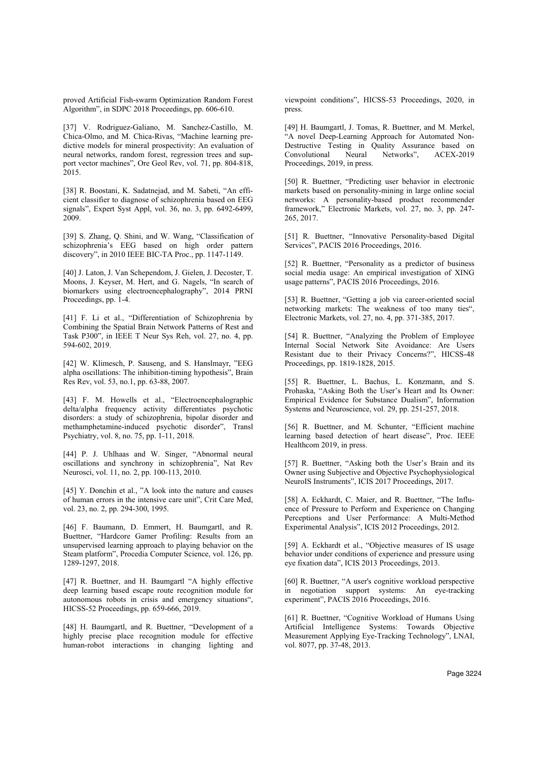proved Artificial Fish-swarm Optimization Random Forest Algorithm", in SDPC 2018 Proceedings, pp. 606-610.

[37] V. Rodriguez-Galiano, M. Sanchez-Castillo, M. Chica-Olmo, and M. Chica-Rivas, "Machine learning predictive models for mineral prospectivity: An evaluation of neural networks, random forest, regression trees and support vector machines", Ore Geol Rev, vol. 71, pp. 804-818, 2015.

[38] R. Boostani, K. Sadatnejad, and M. Sabeti, "An efficient classifier to diagnose of schizophrenia based on EEG signals", Expert Syst Appl, vol. 36, no. 3, pp. 6492-6499, 2009.

[39] S. Zhang, Q. Shini, and W. Wang, "Classification of schizophrenia's EEG based on high order pattern discovery", in 2010 IEEE BIC-TA Proc., pp. 1147-1149.

[40] J. Laton, J. Van Schependom, J. Gielen, J. Decoster, T. Moons, J. Keyser, M. Hert, and G. Nagels, "In search of biomarkers using electroencephalography", 2014 PRNI Proceedings, pp. 1-4.

[41] F. Li et al., "Differentiation of Schizophrenia by Combining the Spatial Brain Network Patterns of Rest and Task P300", in IEEE T Neur Sys Reh, vol. 27, no. 4, pp. 594-602, 2019.

[42] W. Klimesch, P. Sauseng, and S. Hanslmayr, "EEG alpha oscillations: The inhibition-timing hypothesis", Brain Res Rev, vol. 53, no.1, pp. 63-88, 2007.

[43] F. M. Howells et al., "Electroencephalographic delta/alpha frequency activity differentiates psychotic disorders: a study of schizophrenia, bipolar disorder and methamphetamine-induced psychotic disorder", Transl Psychiatry, vol. 8, no. 75, pp. 1-11, 2018.

[44] P. J. Uhlhaas and W. Singer, "Abnormal neural oscillations and synchrony in schizophrenia", Nat Rev Neurosci, vol. 11, no. 2, pp. 100-113, 2010.

[45] Y. Donchin et al., "A look into the nature and causes of human errors in the intensive care unit", Crit Care Med, vol. 23, no. 2, pp. 294-300, 1995.

[46] F. Baumann, D. Emmert, H. Baumgartl, and R. Buettner, "Hardcore Gamer Profiling: Results from an unsupervised learning approach to playing behavior on the Steam platform", Procedia Computer Science, vol. 126, pp. 1289-1297, 2018.

[47] R. Buettner, and H. Baumgartl "A highly effective deep learning based escape route recognition module for autonomous robots in crisis and emergency situations", HICSS-52 Proceedings, pp. 659-666, 2019.

[48] H. Baumgartl, and R. Buettner, "Development of a highly precise place recognition module for effective human-robot interactions in changing lighting and viewpoint conditions", HICSS-53 Proceedings, 2020, in press.

[49] H. Baumgartl, J. Tomas, R. Buettner, and M. Merkel, "A novel Deep-Learning Approach for Automated Non-Destructive Testing in Quality Assurance based on Convolutional Neural Networks", ACEX-2019 Proceedings, 2019, in press.

[50] R. Buettner, "Predicting user behavior in electronic markets based on personality-mining in large online social networks: A personality-based product recommender framework," Electronic Markets, vol. 27, no. 3, pp. 247- 265, 2017.

[51] R. Buettner, "Innovative Personality-based Digital Services", PACIS 2016 Proceedings, 2016.

[52] R. Buettner, "Personality as a predictor of business social media usage: An empirical investigation of XING usage patterns", PACIS 2016 Proceedings, 2016.

[53] R. Buettner, "Getting a job via career-oriented social networking markets: The weakness of too many ties", Electronic Markets, vol. 27, no. 4, pp. 371-385, 2017.

[54] R. Buettner, "Analyzing the Problem of Employee Internal Social Network Site Avoidance: Are Users Resistant due to their Privacy Concerns?", HICSS-48 Proceedings, pp. 1819-1828, 2015.

[55] R. Buettner, L. Bachus, L. Konzmann, and S. Prohaska, "Asking Both the User's Heart and Its Owner: Empirical Evidence for Substance Dualism", Information Systems and Neuroscience, vol. 29, pp. 251-257, 2018.

[56] R. Buettner, and M. Schunter, "Efficient machine learning based detection of heart disease", Proc. IEEE Healthcom 2019, in press.

[57] R. Buettner, "Asking both the User's Brain and its Owner using Subjective and Objective Psychophysiological NeuroIS Instruments", ICIS 2017 Proceedings, 2017.

[58] A. Eckhardt, C. Maier, and R. Buettner, "The Influence of Pressure to Perform and Experience on Changing Perceptions and User Performance: A Multi-Method Experimental Analysis", ICIS 2012 Proceedings, 2012.

[59] A. Eckhardt et al., "Objective measures of IS usage behavior under conditions of experience and pressure using eye fixation data", ICIS 2013 Proceedings, 2013.

[60] R. Buettner, "A user's cognitive workload perspective in negotiation support systems: An eye-tracking experiment", PACIS 2016 Proceedings, 2016.

[61] R. Buettner, "Cognitive Workload of Humans Using Artificial Intelligence Systems: Towards Objective Measurement Applying Eye-Tracking Technology", LNAI, vol. 8077, pp. 37-48, 2013.